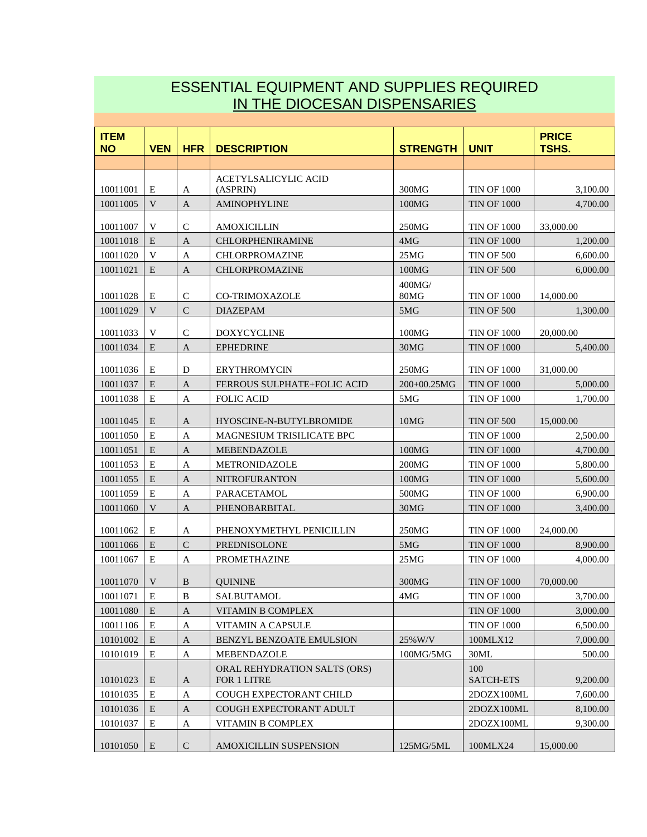## ESSENTIAL EQUIPMENT AND SUPPLIES REQUIRED IN THE DIOCESAN DISPENSARIES

| <b>ITEM</b><br><b>NO</b> | <b>VEN</b>  | <b>HFR</b>    | <b>DESCRIPTION</b>                 | <b>STRENGTH</b> | <b>UNIT</b>            | <b>PRICE</b><br>TSHS. |
|--------------------------|-------------|---------------|------------------------------------|-----------------|------------------------|-----------------------|
|                          |             |               |                                    |                 |                        |                       |
|                          |             |               | <b>ACETYLSALICYLIC ACID</b>        |                 |                        |                       |
| 10011001                 | E           | A             | (ASPRIN)                           | 300MG           | <b>TIN OF 1000</b>     | 3,100.00              |
| 10011005                 | V           | $\mathbf{A}$  | <b>AMINOPHYLINE</b>                | 100MG           | <b>TIN OF 1000</b>     | 4,700.00              |
| 10011007                 | V           | $\mathsf{C}$  | <b>AMOXICILLIN</b>                 | 250MG           | <b>TIN OF 1000</b>     | 33,000.00             |
| 10011018                 | E           | $\mathbf{A}$  | <b>CHLORPHENIRAMINE</b>            | 4MG             | <b>TIN OF 1000</b>     | 1,200.00              |
| 10011020                 | V           | A             | <b>CHLORPROMAZINE</b>              | 25MG            | <b>TIN OF 500</b>      | 6,600.00              |
| 10011021                 | E           | $\mathbf{A}$  | CHLORPROMAZINE                     | 100MG           | <b>TIN OF 500</b>      | 6,000.00              |
|                          |             |               |                                    | 400MG/          |                        |                       |
| 10011028                 | E           | $\mathsf{C}$  | <b>CO-TRIMOXAZOLE</b>              | 80MG            | <b>TIN OF 1000</b>     | 14,000.00             |
| 10011029                 | V           | $\mathcal{C}$ | <b>DIAZEPAM</b>                    | 5MG             | <b>TIN OF 500</b>      | 1,300.00              |
| 10011033                 | V           | C             | <b>DOXYCYCLINE</b>                 | 100MG           | <b>TIN OF 1000</b>     | 20,000.00             |
| 10011034                 | E           | A             | <b>EPHEDRINE</b>                   | 30MG            | <b>TIN OF 1000</b>     | 5,400.00              |
| 10011036                 | E           | D             | <b>ERYTHROMYCIN</b>                | 250MG           | <b>TIN OF 1000</b>     | 31,000.00             |
| 10011037                 | E           | $\mathbf{A}$  | <b>FERROUS SULPHATE+FOLIC ACID</b> | 200+00.25MG     | <b>TIN OF 1000</b>     | 5,000.00              |
| 10011038                 | E           | A             | <b>FOLIC ACID</b>                  | 5MG             | <b>TIN OF 1000</b>     | 1,700.00              |
| 10011045                 | E           | A             | HYOSCINE-N-BUTYLBROMIDE            | 10MG            | <b>TIN OF 500</b>      | 15,000.00             |
| 10011050                 | E           | A             | MAGNESIUM TRISILICATE BPC          |                 | <b>TIN OF 1000</b>     | 2,500.00              |
| 10011051                 | E           | $\mathbf{A}$  | <b>MEBENDAZOLE</b>                 | 100MG           | <b>TIN OF 1000</b>     | 4,700.00              |
| 10011053                 | E           | A             | METRONIDAZOLE                      | 200MG           | <b>TIN OF 1000</b>     | 5,800.00              |
| 10011055                 | E           | $\mathbf{A}$  | <b>NITROFURANTON</b>               | 100MG           | <b>TIN OF 1000</b>     | 5,600.00              |
| 10011059                 | E           | A             | PARACETAMOL                        | 500MG           | <b>TIN OF 1000</b>     | 6,900.00              |
| 10011060                 | V           | $\mathbf{A}$  | PHENOBARBITAL                      | 30MG            | <b>TIN OF 1000</b>     | 3,400.00              |
| 10011062                 | E           | A             | PHENOXYMETHYL PENICILLIN           | 250MG           | <b>TIN OF 1000</b>     | 24,000.00             |
| 10011066                 | E           | $\mathcal{C}$ | <b>PREDNISOLONE</b>                | 5MG             | <b>TIN OF 1000</b>     | 8,900.00              |
| 10011067                 | E           | A             | <b>PROMETHAZINE</b>                | 25MG            | <b>TIN OF 1000</b>     | 4,000.00              |
| 10011070                 | V           | $\bf{B}$      | <b>OUININE</b>                     | 300MG           | <b>TIN OF 1000</b>     | 70,000.00             |
| 10011071                 | $\mathbf E$ | $\, {\bf B}$  | SALBUTAMOL                         | 4MG             | $\mbox{TIN}$ OF $1000$ | 3,700.00              |
| 10011080                 | E           | A             | VITAMIN B COMPLEX                  |                 | <b>TIN OF 1000</b>     | 3,000.00              |
| 10011106                 | Ε           | $\mathbf A$   | <b>VITAMIN A CAPSULE</b>           |                 | <b>TIN OF 1000</b>     | 6,500.00              |
| 10101002                 | E           | $\mathbf{A}$  | BENZYL BENZOATE EMULSION           | 25%W/V          | 100MLX12               | 7,000.00              |
| 10101019                 | Ε           | A             | <b>MEBENDAZOLE</b>                 | 100MG/5MG       | 30ML                   | 500.00                |
|                          |             |               | ORAL REHYDRATION SALTS (ORS)       |                 | 100                    |                       |
| 10101023                 | E           | $\mathbf{A}$  | FOR 1 LITRE                        |                 | <b>SATCH-ETS</b>       | 9,200.00              |
| 10101035                 | E           | $\mathbf A$   | COUGH EXPECTORANT CHILD            |                 | 2DOZX100ML             | 7,600.00              |
| 10101036                 | E           | $\mathbf{A}$  | COUGH EXPECTORANT ADULT            |                 | 2DOZX100ML             | 8,100.00              |
| 10101037                 | Ε           | $\mathbf A$   | VITAMIN B COMPLEX                  |                 | 2DOZX100ML             | 9,300.00              |
| 10101050                 | E           | ${\bf C}$     | AMOXICILLIN SUSPENSION             | 125MG/5ML       | 100MLX24               | 15,000.00             |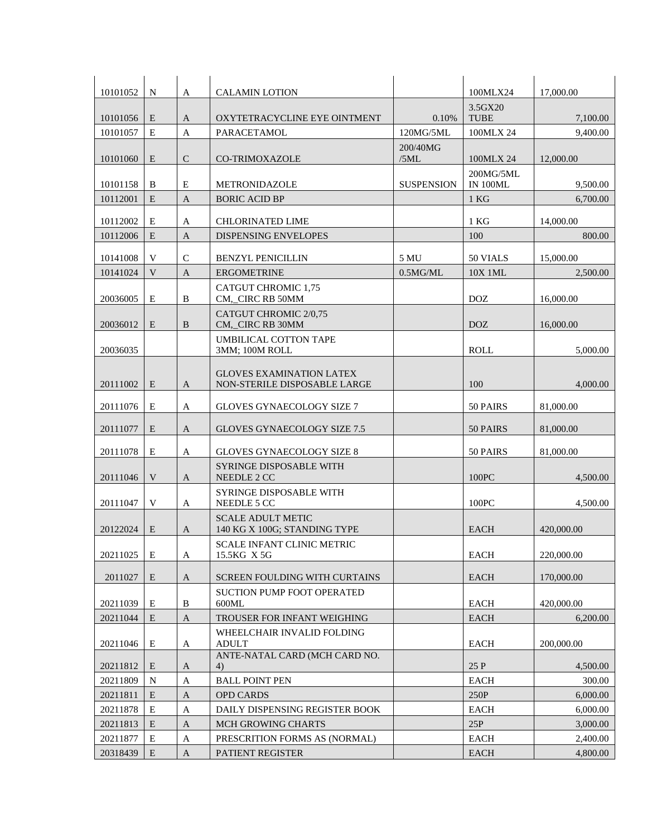| 10101052 | N | A              | <b>CALAMIN LOTION</b>                                           |                   | 100MLX24                     | 17,000.00  |
|----------|---|----------------|-----------------------------------------------------------------|-------------------|------------------------------|------------|
| 10101056 | E | $\mathbf{A}$   | OXYTETRACYCLINE EYE OINTMENT                                    | 0.10%             | 3.5GX20<br><b>TUBE</b>       | 7,100.00   |
| 10101057 | E | $\overline{A}$ | PARACETAMOL                                                     | 120MG/5ML         | 100MLX 24                    | 9,400.00   |
| 10101060 | E | $\mathcal{C}$  | <b>CO-TRIMOXAZOLE</b>                                           | 200/40MG<br>/5ML  | 100MLX 24                    | 12,000.00  |
| 10101158 | B | E              | METRONIDAZOLE                                                   | <b>SUSPENSION</b> | 200MG/5ML<br><b>IN 100ML</b> | 9,500.00   |
| 10112001 | E | $\mathbf{A}$   | <b>BORIC ACID BP</b>                                            |                   | 1 <sub>KG</sub>              | 6,700.00   |
| 10112002 | Е | A              | <b>CHLORINATED LIME</b>                                         |                   | $1$ KG                       | 14,000.00  |
| 10112006 | E | $\mathbf{A}$   | <b>DISPENSING ENVELOPES</b>                                     |                   | 100                          | 800.00     |
| 10141008 | V | $\mathcal{C}$  | <b>BENZYL PENICILLIN</b>                                        | 5 MU              | 50 VIALS                     | 15,000.00  |
| 10141024 | V | $\overline{A}$ | <b>ERGOMETRINE</b>                                              | 0.5MG/ML          | 10X 1ML                      | 2,500.00   |
| 20036005 | E | B              | <b>CATGUT CHROMIC 1,75</b><br>CM, CIRC RB 50MM                  |                   | <b>DOZ</b>                   | 16,000.00  |
| 20036012 | E | B              | CATGUT CHROMIC 2/0,75<br>CM,_CIRC RB 30MM                       |                   | <b>DOZ</b>                   | 16,000.00  |
| 20036035 |   |                | <b>UMBILICAL COTTON TAPE</b><br><b>3MM: 100M ROLL</b>           |                   | ROLL                         | 5,000.00   |
| 20111002 | E | $\mathbf{A}$   | <b>GLOVES EXAMINATION LATEX</b><br>NON-STERILE DISPOSABLE LARGE |                   | 100                          | 4,000.00   |
| 20111076 | Ε | A              | <b>GLOVES GYNAECOLOGY SIZE 7</b>                                |                   | 50 PAIRS                     | 81,000.00  |
| 20111077 | E | $\mathbf{A}$   | GLOVES GYNAECOLOGY SIZE 7.5                                     |                   | 50 PAIRS                     | 81,000.00  |
| 20111078 | E | A              | GLOVES GYNAECOLOGY SIZE 8                                       |                   | 50 PAIRS                     | 81,000.00  |
| 20111046 | V | A              | <b>SYRINGE DISPOSABLE WITH</b><br>NEEDLE 2 CC                   |                   | 100PC                        | 4,500.00   |
| 20111047 | V | A              | <b>SYRINGE DISPOSABLE WITH</b><br>NEEDLE 5 CC                   |                   | 100PC                        | 4,500.00   |
| 20122024 | E | A              | <b>SCALE ADULT METIC</b><br>140 KG X 100G; STANDING TYPE        |                   | <b>EACH</b>                  | 420,000.00 |
| 20211025 | E | A              | <b>SCALE INFANT CLINIC METRIC</b><br>15.5KG X 5G                |                   | <b>EACH</b>                  | 220,000.00 |
| 2011027  | E | A              | SCREEN FOULDING WITH CURTAINS                                   |                   | <b>EACH</b>                  | 170,000.00 |
| 20211039 | Ε | B              | <b>SUCTION PUMP FOOT OPERATED</b><br>600ML                      |                   | <b>EACH</b>                  | 420,000.00 |
| 20211044 | E | A              | <b>TROUSER FOR INFANT WEIGHING</b>                              |                   | <b>EACH</b>                  | 6,200.00   |
| 20211046 | Ε | A              | WHEELCHAIR INVALID FOLDING<br><b>ADULT</b>                      |                   | EACH                         | 200,000.00 |
| 20211812 | E | A              | ANTE-NATAL CARD (MCH CARD NO.<br>4)                             |                   | 25 P                         | 4,500.00   |
| 20211809 | N | A              | <b>BALL POINT PEN</b>                                           |                   | EACH                         | 300.00     |
| 20211811 | E | $\mathbf{A}$   | <b>OPD CARDS</b>                                                |                   | 250P                         | 6,000.00   |
| 20211878 | E | A              | DAILY DISPENSING REGISTER BOOK                                  |                   | <b>EACH</b>                  | 6,000.00   |
| 20211813 | E | A              | <b>MCH GROWING CHARTS</b>                                       |                   | 25P                          | 3,000.00   |
| 20211877 | E | A              | PRESCRITION FORMS AS (NORMAL)                                   |                   | <b>EACH</b>                  | 2,400.00   |
| 20318439 | E | $\mathbf{A}$   | <b>PATIENT REGISTER</b>                                         |                   | <b>EACH</b>                  | 4,800.00   |